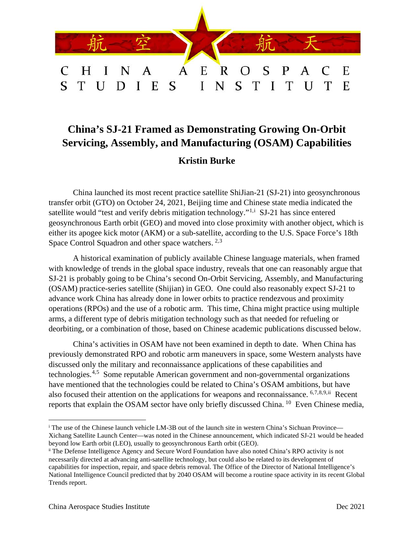

# **China's SJ-21 Framed as Demonstrating Growing On-Orbit Servicing, Assembly, and Manufacturing (OSAM) Capabilities**

# **Kristin Burke**

China launched its most recent practice satellite ShiJian-21 (SJ-21) into geosynchronous transfer orbit (GTO) on October 24, 2021, Beijing time and Chinese state media indicated the satellite would "test and verify debris mitigation technology."<sup>[1](#page-6-0),[i](#page-0-0)</sup> SJ-21 has since entered geosynchronous Earth orbit (GEO) and moved into close proximity with another object, which is either its apogee kick motor (AKM) or a sub-satellite, according to the U.S. Space Force's 18th Space Control Squadron and other space watchers. <sup>[2](#page-6-1),[3](#page-6-2)</sup>

A historical examination of publicly available Chinese language materials, when framed with knowledge of trends in the global space industry, reveals that one can reasonably argue that SJ-21 is probably going to be China's second On-Orbit Servicing, Assembly, and Manufacturing (OSAM) practice-series satellite (Shijian) in GEO. One could also reasonably expect SJ-21 to advance work China has already done in lower orbits to practice rendezvous and proximity operations (RPOs) and the use of a robotic arm. This time, China might practice using multiple arms, a different type of debris mitigation technology such as that needed for refueling or deorbiting, or a combination of those, based on Chinese academic publications discussed below.

China's activities in OSAM have not been examined in depth to date. When China has previously demonstrated RPO and robotic arm maneuvers in space, some Western analysts have discussed only the military and reconnaissance applications of these capabilities and technologies.[4](#page-6-3),[5](#page-6-4) Some reputable American government and non-governmental organizations have mentioned that the technologies could be related to China's OSAM ambitions, but have also focused their attention on the applications for weapons and reconnaissance. [6,](#page-6-5)[7](#page-6-6),[8,](#page-6-7)[9](#page-6-8),[ii](#page-0-1) Recent reports that explain the OSAM sector have only briefly discussed China. [10](#page-6-9) Even Chinese media,

<span id="page-0-0"></span><sup>&</sup>lt;sup>i</sup> The use of the Chinese launch vehicle LM-3B out of the launch site in western China's Sichuan Province— Xichang Satellite Launch Center—was noted in the Chinese announcement, which indicated SJ-21 would be headed beyond low Earth orbit (LEO), usually to geosynchronous Earth orbit (GEO).

<span id="page-0-1"></span>ii The Defense Intelligence Agency and Secure Word Foundation have also noted China's RPO activity is not necessarily directed at advancing anti-satellite technology, but could also be related to its development of capabilities for inspection, repair, and space debris removal. The Office of the Director of National Intelligence's National Intelligence Council predicted that by 2040 OSAM will become a routine space activity in its recent Global Trends report.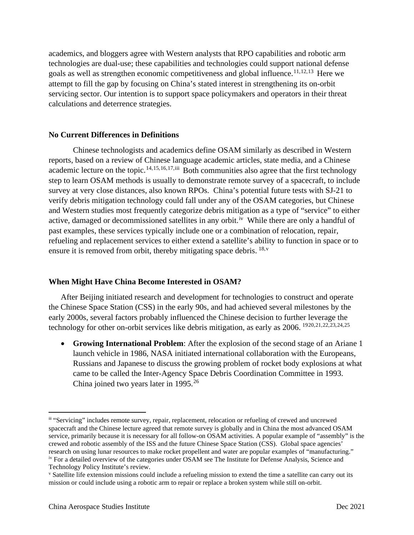academics, and bloggers agree with Western analysts that RPO capabilities and robotic arm technologies are dual-use; these capabilities and technologies could support national defense goals as well as strengthen economic competitiveness and global influence.<sup>[11,](#page-7-0)[12](#page-7-1),[13](#page-7-2)</sup> Here we attempt to fill the gap by focusing on China's stated interest in strengthening its on-orbit servicing sector. Our intention is to support space policymakers and operators in their threat calculations and deterrence strategies.

#### **No Current Differences in Definitions**

Chinese technologists and academics define OSAM similarly as described in Western reports, based on a review of Chinese language academic articles, state media, and a Chinese academic lecture on the topic.<sup>[14](#page-7-3),[15,](#page-7-4)[16,](#page-7-5)[17](#page-7-6),[iii](#page-1-0)</sup> Both communities also agree that the first technology step to learn OSAM methods is usually to demonstrate remote survey of a spacecraft, to include survey at very close distances, also known RPOs. China's potential future tests with SJ-21 to verify debris mitigation technology could fall under any of the OSAM categories, but Chinese and Western studies most frequently categorize debris mitigation as a type of "service" to either active, damaged or decommissioned satellites in any orbit.<sup>iv</sup> While there are only a handful of past examples, these services typically include one or a combination of relocation, repair, refueling and replacement services to either extend a satellite's ability to function in space or to ensure it is remo[v](#page-1-2)ed from orbit, thereby mitigating space debris.  $^{18,v}$  $^{18,v}$  $^{18,v}$ 

#### **When Might Have China Become Interested in OSAM?**

After Beijing initiated research and development for technologies to construct and operate the Chinese Space Station (CSS) in the early 90s, and had achieved several milestones by the early 2000s, several factors probably influenced the Chinese decision to further leverage the technology for other on-orbit services like debris mitigation, as early as 2006. [19](#page-7-8)[20](#page-7-9),[21,](#page-7-10)[22,](#page-7-11)[23](#page-7-12),[24,](#page-7-13)[25](#page-7-14) 

• **Growing International Problem**: After the explosion of the second stage of an Ariane 1 launch vehicle in 1986, NASA initiated international collaboration with the Europeans, Russians and Japanese to discuss the growing problem of rocket body explosions at what came to be called the Inter-Agency Space Debris Coordination Committee in 1993. China joined two years later in 1995.<sup>[26](#page-7-15)</sup>

<span id="page-1-0"></span>iii "Servicing" includes remote survey, repair, replacement, relocation or refueling of crewed and uncrewed spacecraft and the Chinese lecture agreed that remote survey is globally and in China the most advanced OSAM service, primarily because it is necessary for all follow-on OSAM activities. A popular example of "assembly" is the crewed and robotic assembly of the ISS and the future Chinese Space Station (CSS). Global space agencies' research on using lunar resources to make rocket propellent and water are popular examples of "manufacturing." iv For a detailed overview of the categories under OSAM see The Institute for Defense Analysis, Science and Technology Policy Institute's review.

<span id="page-1-2"></span><span id="page-1-1"></span><sup>v</sup> Satellite life extension missions could include a refueling mission to extend the time a satellite can carry out its mission or could include using a robotic arm to repair or replace a broken system while still on-orbit.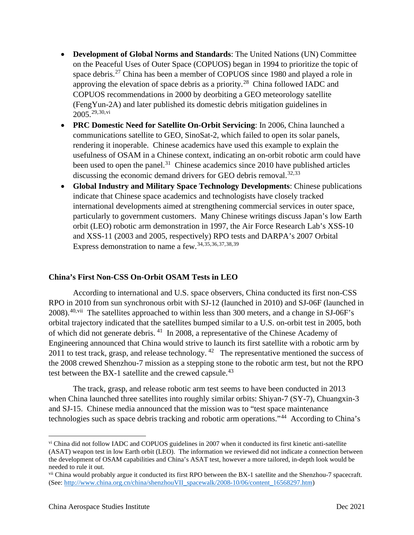- **Development of Global Norms and Standards**: The United Nations (UN) Committee on the Peaceful Uses of Outer Space (COPUOS) began in 1994 to prioritize the topic of space debris.<sup>[27](#page-8-0)</sup> China has been a member of COPUOS since 1980 and played a role in approving the elevation of space debris as a priority.[28](#page-8-1) China followed IADC and COPUOS recommendations in 2000 by deorbiting a GEO meteorology satellite (FengYun-2A) and later published its domestic debris mitigation guidelines in 2005. [29,](#page-8-2)[30](#page-8-3),[vi](#page-2-0)
- **PRC Domestic Need for Satellite On-Orbit Servicing**: In 2006, China launched a communications satellite to GEO, SinoSat-2, which failed to open its solar panels, rendering it inoperable. Chinese academics have used this example to explain the usefulness of OSAM in a Chinese context, indicating an on-orbit robotic arm could have been used to open the panel.<sup>31</sup> Chinese academics since 2010 have published articles discussing the economic demand drivers for GEO debris removal.<sup>[32,](#page-8-5)[33](#page-8-6)</sup>
- **Global Industry and Military Space Technology Developments**: Chinese publications indicate that Chinese space academics and technologists have closely tracked international developments aimed at strengthening commercial services in outer space, particularly to government customers. Many Chinese writings discuss Japan's low Earth orbit (LEO) robotic arm demonstration in 1997, the Air Force Research Lab's XSS-10 and XSS-11 (2003 and 2005, respectively) RPO tests and DARPA's 2007 Orbital Express demonstration to name a few. [34](#page-8-7),[35,](#page-8-8)[36](#page-8-9),[37](#page-8-10),[38,](#page-8-11)[39](#page-8-12)

## **China's First Non-CSS On-Orbit OSAM Tests in LEO**

According to international and U.S. space observers, China conducted its first non-CSS RPO in 2010 from sun synchronous orbit with SJ-12 (launched in 2010) and SJ-06F (launched in 2008).<sup>[40,](#page-8-13)vii</sup> The satellites approached to within less than 300 meters, and a change in SJ-06F's orbital trajectory indicated that the satellites bumped similar to a U.S. on-orbit test in 2005, both of which did not generate debris. [41](#page-8-14) In 2008, a representative of the Chinese Academy of Engineering announced that China would strive to launch its first satellite with a robotic arm by 2011 to test track, grasp, and release technology.  $42$  The representative mentioned the success of the 2008 crewed Shenzhou-7 mission as a stepping stone to the robotic arm test, but not the RPO test between the BX-1 satellite and the crewed capsule.<sup>[43](#page-8-16)</sup>

The track, grasp, and release robotic arm test seems to have been conducted in 2013 when China launched three satellites into roughly similar orbits: Shiyan-7 (SY-7), Chuangxin-3 and SJ-15. Chinese media announced that the mission was to "test space maintenance technologies such as space debris tracking and robotic arm operations."[44](#page-8-17) According to China's

<span id="page-2-0"></span>vi China did not follow IADC and COPUOS guidelines in 2007 when it conducted its first kinetic anti-satellite (ASAT) weapon test in low Earth orbit (LEO). The information we reviewed did not indicate a connection between the development of OSAM capabilities and China's ASAT test, however a more tailored, in-depth look would be needed to rule it out.

<span id="page-2-1"></span>vii China would probably argue it conducted its first RPO between the BX-1 satellite and the Shenzhou-7 spacecraft. (See: [http://www.china.org.cn/china/shenzhouVII\\_spacewalk/2008-10/06/content\\_16568297.htm\)](http://www.china.org.cn/china/shenzhouVII_spacewalk/2008-10/06/content_16568297.htm)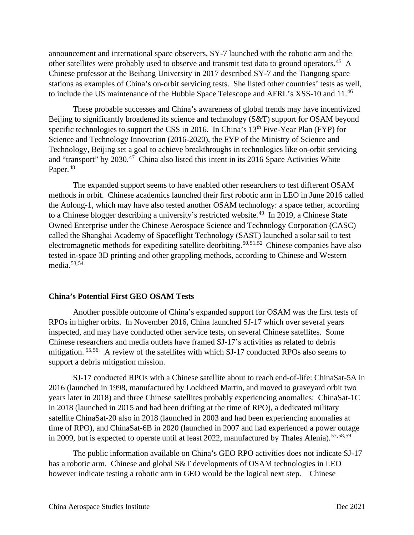announcement and international space observers, SY-7 launched with the robotic arm and the other satellites were probably used to observe and transmit test data to ground operators.<sup>[45](#page-8-18)</sup> A Chinese professor at the Beihang University in 2017 described SY-7 and the Tiangong space stations as examples of China's on-orbit servicing tests. She listed other countries' tests as well, to include the US maintenance of the Hubble Space Telescope and AFRL's XSS-10 and 11.[46](#page-8-19)

These probable successes and China's awareness of global trends may have incentivized Beijing to significantly broadened its science and technology (S&T) support for OSAM beyond specific technologies to support the CSS in 2016. In China's 13<sup>th</sup> Five-Year Plan (FYP) for Science and Technology Innovation (2016-2020), the FYP of the Ministry of Science and Technology, Beijing set a goal to achieve breakthroughs in technologies like on-orbit servicing and "transport" by  $2030<sup>47</sup>$  $2030<sup>47</sup>$  $2030<sup>47</sup>$  China also listed this intent in its  $2016$  Space Activities White Paper.<sup>[48](#page-8-21)</sup>

The expanded support seems to have enabled other researchers to test different OSAM methods in orbit. Chinese academics launched their first robotic arm in LEO in June 2016 called the Aolong-1, which may have also tested another OSAM technology: a space tether, according to a Chinese blogger describing a university's restricted website.<sup>49</sup> In 2019, a Chinese State Owned Enterprise under the Chinese Aerospace Science and Technology Corporation (CASC) called the Shanghai Academy of Spaceflight Technology (SAST) launched a solar sail to test electromagnetic methods for expediting satellite deorbiting.<sup>[50](#page-8-23),[51,](#page-8-24)[52](#page-8-25)</sup> Chinese companies have also tested in-space 3D printing and other grappling methods, according to Chinese and Western media.[53](#page-8-26),[54](#page-8-27)

#### **China's Potential First GEO OSAM Tests**

Another possible outcome of China's expanded support for OSAM was the first tests of RPOs in higher orbits. In November 2016, China launched SJ-17 which over several years inspected, and may have conducted other service tests, on several Chinese satellites. Some Chinese researchers and media outlets have framed SJ-17's activities as related to debris mitigation. <sup>[55](#page-8-28),[56](#page-8-29)</sup> A review of the satellites with which SJ-17 conducted RPOs also seems to support a debris mitigation mission.

SJ-17 conducted RPOs with a Chinese satellite about to reach end-of-life: ChinaSat-5A in 2016 (launched in 1998, manufactured by Lockheed Martin, and moved to graveyard orbit two years later in 2018) and three Chinese satellites probably experiencing anomalies: ChinaSat-1C in 2018 (launched in 2015 and had been drifting at the time of RPO), a dedicated military satellite ChinaSat-20 also in 2018 (launched in 2003 and had been experiencing anomalies at time of RPO), and ChinaSat-6B in 2020 (launched in 2007 and had experienced a power outage in 2009, but is expected to operate until at least 2022, manufactured by Thales Alenia). [57](#page-8-30),[58,](#page-8-31)[59](#page-8-32)

The public information available on China's GEO RPO activities does not indicate SJ-17 has a robotic arm. Chinese and global S&T developments of OSAM technologies in LEO however indicate testing a robotic arm in GEO would be the logical next step. Chinese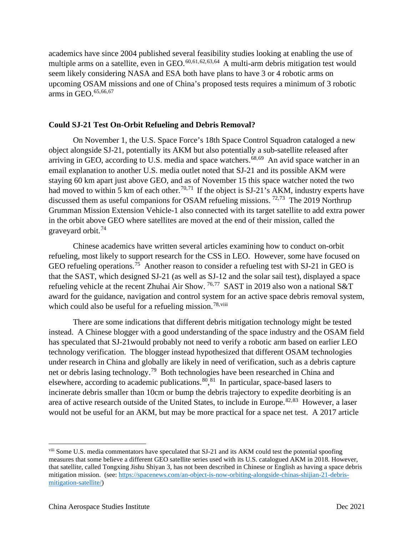academics have since 2004 published several feasibility studies looking at enabling the use of multiple arms on a satellite, even in GEO. $^{60,61,62,63,64}$  $^{60,61,62,63,64}$  $^{60,61,62,63,64}$  $^{60,61,62,63,64}$  $^{60,61,62,63,64}$  $^{60,61,62,63,64}$  $^{60,61,62,63,64}$  $^{60,61,62,63,64}$  $^{60,61,62,63,64}$  A multi-arm debris mitigation test would seem likely considering NASA and ESA both have plans to have 3 or 4 robotic arms on upcoming OSAM missions and one of China's proposed tests requires a minimum of 3 robotic arms in GEO. [65](#page-8-10),[66,](#page-8-37)[67](#page-8-38)

### **Could SJ-21 Test On-Orbit Refueling and Debris Removal?**

On November 1, the U.S. Space Force's 18th Space Control Squadron cataloged a new object alongside SJ-21, potentially its AKM but also potentially a sub-satellite released after arriving in GEO, according to U.S. media and space watchers.<sup>[68,](#page-8-39)[69](#page-8-40)</sup> An avid space watcher in an email explanation to another U.S. media outlet noted that SJ-21 and its possible AKM were staying 60 km apart just above GEO, and as of November 15 this space watcher noted the two had moved to within 5 km of each other.<sup>[70,](#page-8-41)[71](#page-8-42)</sup> If the object is SJ-21's AKM, industry experts have discussed them as useful companions for OSAM refueling missions.<sup>[72,](#page-8-43)[73](#page-8-44)</sup> The 2019 Northrup Grumman Mission Extension Vehicle-1 also connected with its target satellite to add extra power in the orbit above GEO where satellites are moved at the end of their mission, called the graveyard orbit.[74](#page-8-45)

Chinese academics have written several articles examining how to conduct on-orbit refueling, most likely to support research for the CSS in LEO. However, some have focused on GEO refueling operations.<sup>75</sup> Another reason to consider a refueling test with SJ-21 in GEO is that the SAST, which designed SJ-21 (as well as SJ-12 and the solar sail test), displayed a space refueling vehicle at the recent Zhuhai Air Show. [76,](#page-8-47)[77](#page-8-48) SAST in 2019 also won a national S&T award for the guidance, navigation and control system for an active space debris removal system, which could also be useful for a refueling mission.<sup>[78,](#page-8-49)[viii](#page-4-0)</sup>

There are some indications that different debris mitigation technology might be tested instead. A Chinese blogger with a good understanding of the space industry and the OSAM field has speculated that SJ-21would probably not need to verify a robotic arm based on earlier LEO technology verification. The blogger instead hypothesized that different OSAM technologies under research in China and globally are likely in need of verification, such as a debris capture net or debris lasing technology.<sup>79</sup> Both technologies have been researched in China and elsewhere, according to academic publications.<sup>[80](#page-8-51)</sup>, <sup>81</sup> In particular, space-based lasers to incinerate debris smaller than 10cm or bump the debris trajectory to expedite deorbiting is an area of active research outside of the United States, to include in Europe.<sup>[82,](#page-8-53)[83](#page-8-54)</sup> However, a laser would not be useful for an AKM, but may be more practical for a space net test. A 2017 article

<span id="page-4-0"></span>viii Some U.S. media commentators have speculated that SJ-21 and its AKM could test the potential spoofing measures that some believe a different GEO satellite series used with its U.S. catalogued AKM in 2018. However, that satellite, called Tongxing Jishu Shiyan 3, has not been described in Chinese or English as having a space debris mitigation mission. (see[: https://spacenews.com/an-object-is-now-orbiting-alongside-chinas-shijian-21-debris](https://spacenews.com/an-object-is-now-orbiting-alongside-chinas-shijian-21-debris-mitigation-satellite/)[mitigation-satellite/\)](https://spacenews.com/an-object-is-now-orbiting-alongside-chinas-shijian-21-debris-mitigation-satellite/)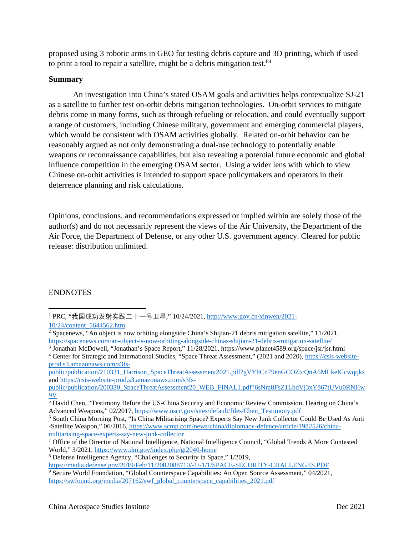proposed using 3 robotic arms in GEO for testing debris capture and 3D printing, which if used to print a tool to repair a satellite, might be a debris mitigation test.<sup>[84](#page-8-55)</sup>

#### **Summary**

An investigation into China's stated OSAM goals and activities helps contextualize SJ-21 as a satellite to further test on-orbit debris mitigation technologies. On-orbit services to mitigate debris come in many forms, such as through refueling or relocation, and could eventually support a range of customers, including Chinese military, government and emerging commercial players, which would be consistent with OSAM activities globally. Related on-orbit behavior can be reasonably argued as not only demonstrating a dual-use technology to potentially enable weapons or reconnaissance capabilities, but also revealing a potential future economic and global influence competition in the emerging OSAM sector. Using a wider lens with which to view Chinese on-orbit activities is intended to support space policymakers and operators in their deterrence planning and risk calculations.

Opinions, conclusions, and recommendations expressed or implied within are solely those of the author(s) and do not necessarily represent the views of the Air University, the Department of the Air Force, the Department of Defense, or any other U.S. government agency. Cleared for public release: distribution unlimited.

#### ENDNOTES

[public/publication/210331\\_Harrison\\_SpaceThreatAssessment2021.pdf?gVYhCn79enGCOZtcQnA6MLkeKlcwqqks](https://csis-website-prod.s3.amazonaws.com/s3fs-public/publication/210331_Harrison_SpaceThreatAssessment2021.pdf?gVYhCn79enGCOZtcQnA6MLkeKlcwqqks) and [https://csis-website-prod.s3.amazonaws.com/s3fs-](https://csis-website-prod.s3.amazonaws.com/s3fs-public/publication/200330_SpaceThreatAssessment20_WEB_FINAL1.pdf?6sNra8FsZ1LbdVj3xY867tUVu0RNHw9V)

[public/publication/200330\\_SpaceThreatAssessment20\\_WEB\\_FINAL1.pdf?6sNra8FsZ1LbdVj3xY867tUVu0RNHw](https://csis-website-prod.s3.amazonaws.com/s3fs-public/publication/200330_SpaceThreatAssessment20_WEB_FINAL1.pdf?6sNra8FsZ1LbdVj3xY867tUVu0RNHw9V) [9V](https://csis-website-prod.s3.amazonaws.com/s3fs-public/publication/200330_SpaceThreatAssessment20_WEB_FINAL1.pdf?6sNra8FsZ1LbdVj3xY867tUVu0RNHw9V)

<https://media.defense.gov/2019/Feb/11/2002088710/-1/-1/1/SPACE-SECURITY-CHALLENGES.PDF>

<sup>&</sup>lt;sup>1</sup> PRC, "我国成功发射实践二十一号卫星," 10/24/2021, [http://www.gov.cn/xinwen/2021-](http://www.gov.cn/xinwen/2021-10/24/content_5644562.htm)

[<sup>10/24/</sup>content\\_5644562.htm](http://www.gov.cn/xinwen/2021-10/24/content_5644562.htm)

<sup>&</sup>lt;sup>2</sup> Spacenews, "An object is now orbiting alongside China's Shijian-21 debris mitigation satellite," 11/2021, <https://spacenews.com/an-object-is-now-orbiting-alongside-chinas-shijian-21-debris-mitigation-satellite/>

<sup>3</sup> Jonathan McDowell, "Jonathan's Space Report," 11/28/2021, https://www.planet4589.org/space/jsr/jsr.html <sup>4</sup> Center for Strategic and International Studies, "Space Threat Assessment," (2021 and 2020), [https://csis-website](https://csis-website-prod.s3.amazonaws.com/s3fs-public/publication/210331_Harrison_SpaceThreatAssessment2021.pdf?gVYhCn79enGCOZtcQnA6MLkeKlcwqqks)[prod.s3.amazonaws.com/s3fs-](https://csis-website-prod.s3.amazonaws.com/s3fs-public/publication/210331_Harrison_SpaceThreatAssessment2021.pdf?gVYhCn79enGCOZtcQnA6MLkeKlcwqqks)

<sup>&</sup>lt;sup>5</sup> David Chen, "Testimony Before the US-China Security and Economic Review Commission, Hearing on China's Advanced Weapons," 02/2017, [https://www.uscc.gov/sites/default/files/Chen\\_Testimony.pdf](https://www.uscc.gov/sites/default/files/Chen_Testimony.pdf)

<sup>6</sup> South China Morning Post, "Is China Militarising Space? Experts Say New Junk Collector Could Be Used As Anti -Satellite Weapon," 06/2016, [https://www.scmp.com/news/china/diplomacy-defence/article/1982526/china](https://www.scmp.com/news/china/diplomacy-defence/article/1982526/china-militarising-space-experts-say-new-junk-collector)[militarising-space-experts-say-new-junk-collector](https://www.scmp.com/news/china/diplomacy-defence/article/1982526/china-militarising-space-experts-say-new-junk-collector)

<sup>&</sup>lt;sup>7</sup> Office of the Director of National Intelligence, National Intelligence Council, "Global Trends A More Contested World," 3/2021,<https://www.dni.gov/index.php/gt2040-home>

<sup>8</sup> Defense Intelligence Agency, "Challenges to Security in Space," 1/2019,

<sup>9</sup> Secure World Foundation, "Global Counterspace Capabilities: An Open Source Assessment," 04/2021, [https://swfound.org/media/207162/swf\\_global\\_counterspace\\_capabilities\\_2021.pdf](https://swfound.org/media/207162/swf_global_counterspace_capabilities_2021.pdf)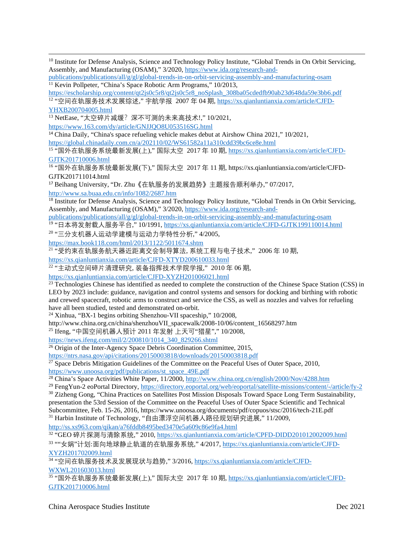<span id="page-6-9"></span><sup>10</sup> Institute for Defense Analysis, Science and Technology Policy Institute, "Global Trends in On Orbit Servicing, Assembly, and Manufacturing (OSAM)," 3/2020[, https://www.ida.org/research-and-](https://www.ida.org/research-and-publications/publications/all/g/gl/global-trends-in-on-orbit-servicing-assembly-and-manufacturing-osam)

[publications/publications/all/g/gl/global-trends-in-on-orbit-servicing-assembly-and-manufacturing-osam](https://www.ida.org/research-and-publications/publications/all/g/gl/global-trends-in-on-orbit-servicing-assembly-and-manufacturing-osam) <sup>11</sup> Kevin Pollpeter, "China's Space Robotic Arm Programs," 10/2013,

[https://escholarship.org/content/qt2js0c5r8/qt2js0c5r8\\_noSplash\\_308ba05cdedfb90ab23d648da59e3bb6.pdf](https://escholarship.org/content/qt2js0c5r8/qt2js0c5r8_noSplash_308ba05cdedfb90ab23d648da59e3bb6.pdf) <sup>12</sup> "空间在轨服务技术发展综述," 宇航学报 2007 年 04 期, [https://xs.qianluntianxia.com/article/CJFD-](https://xs.qianluntianxia.com/article/CJFD-YHXB200704005.html)

[YHXB200704005.html](https://xs.qianluntianxia.com/article/CJFD-YHXB200704005.html)

 $13$  NetEase, "太空碎片减缓?深不可测的未来高技术!," 10/2021,

<https://www.163.com/dy/article/GNJJQO8U053516SG.html>

<sup>14</sup> China Daily, "China's space refueling vehicle makes debut at Airshow China 2021," 10/2021, <https://global.chinadaily.com.cn/a/202110/02/WS61582a11a310cdd39bc6ce8e.html>

<sup>15</sup> "国外在轨服务系统最新发展(上)," 国际太空 2017 年 10 期, [https://xs.qianluntianxia.com/article/CJFD-](https://xs.qianluntianxia.com/article/CJFD-GJTK201710006.html)[GJTK201710006.html](https://xs.qianluntianxia.com/article/CJFD-GJTK201710006.html)

<sup>16</sup> "国外在轨服务系统最新发展(下)," 国际太空 2017 年 11 期, https://xs.qianluntianxia.com/article/CJFD-GJTK201711014.html

<sup>17</sup> Beihang University, "Dr. Zhu《在轨服务的发展趋势》主题报告顺利举办," 07/2017,

<http://www.sa.buaa.edu.cn/info/1082/2687.htm>

<sup>18</sup> Institute for Defense Analysis, Science and Technology Policy Institute, "Global Trends in On Orbit Servicing, Assembly, and Manufacturing (OSAM)," 3/2020[, https://www.ida.org/research-and-](https://www.ida.org/research-and-publications/publications/all/g/gl/global-trends-in-on-orbit-servicing-assembly-and-manufacturing-osam)

[publications/publications/all/g/gl/global-trends-in-on-orbit-servicing-assembly-and-manufacturing-osam](https://www.ida.org/research-and-publications/publications/all/g/gl/global-trends-in-on-orbit-servicing-assembly-and-manufacturing-osam)

<sup>19</sup> "日本将发射载人服务平台," 10/1991[, https://xs.qianluntianxia.com/article/CJFD-GJTK199110014.html](https://xs.qianluntianxia.com/article/CJFD-GJTK199110014.html)

<sup>20</sup> "三分支机器人运动学建模与运动力学特性分析," 4/2005,

<https://max.book118.com/html/2013/1122/5011674.shtm>

<sup>21</sup> "受约束在轨服务航天器近距离交会制导算法, 系统工程与电子技术," 2006 年 10 期,

<https://xs.qianluntianxia.com/article/CJFD-XTYD200610033.html>

22 "主动式空间碎片清理研究, 装备指挥技术学院学报," 2010 年 06 期,

<https://xs.qianluntianxia.com/article/CJFD-XYZH201006021.html>

<sup>23</sup> Technologies Chinese has identified as needed to complete the construction of the Chinese Space Station (CSS) in LEO by 2023 include: guidance, navigation and control systems and sensors for docking and birthing with robotic and crewed spacecraft, robotic arms to construct and service the CSS, as well as nozzles and valves for refueling have all been studied, tested and demonstrated on-orbit.

<span id="page-6-0"></span><sup>24</sup> Xinhua, "BX-1 begins orbiting Shenzhou-VII spaceship," 10/2008,

http://www.china.org.cn/china/shenzhouVII\_spacewalk/2008-10/06/content\_16568297.htm

<span id="page-6-1"></span><sup>25</sup> Ifeng, "中国空间机器人预计 2011 年发射 上天可"猎星"," 10/2008,

[https://news.ifeng.com/mil/2/200810/1014\\_340\\_829266.shtml](https://news.ifeng.com/mil/2/200810/1014_340_829266.shtml)

<span id="page-6-2"></span><sup>26</sup> Origin of the Inter-Agency Space Debris Coordination Committee, 2015,

<span id="page-6-3"></span><https://ntrs.nasa.gov/api/citations/20150003818/downloads/20150003818.pdf>

 $^{27}$  Space Debris Mitigation Guidelines of the Committee on the Peaceful Uses of Outer Space, 2010, [https://www.unoosa.org/pdf/publications/st\\_space\\_49E.pdf](https://www.unoosa.org/pdf/publications/st_space_49E.pdf)

<sup>28</sup> China's Space Activities White Paper, 11/2000,<http://www.china.org.cn/english/2000/Nov/4288.htm>

<sup>29</sup> FengYun-2 eoPortal Directory,<https://directory.eoportal.org/web/eoportal/satellite-missions/content/-/article/fy-2>

<span id="page-6-4"></span><sup>30</sup> Zizheng Gong, "China Practices on Satellites Post Mission Disposals Toward Space Long Term Sustainability, presentation the 53rd Session of the Committee on the Peaceful Uses of Outer Space Scientific and Technical Subcommittee, Feb. 15-26, 2016, https://www.unoosa.org/documents/pdf/copuos/stsc/2016/tech-21E.pdf

<span id="page-6-5"></span><sup>31</sup> Harbin Institute of Technology, "自由漂浮空间机器人路径规划研究进展," 11/2009, <http://ss.xs963.com/qikan/a76fddb8495bed3470e5a609c86e9fa4.html>

32 "GEO 碎片探测与清除系统," 2010[, https://xs.qianluntianxia.com/article/CPFD-DIDD201012002009.html](https://xs.qianluntianxia.com/article/CPFD-DIDD201012002009.html)

<span id="page-6-6"></span><sup>33</sup> ""女娲"计划:面向地球静止轨道的在轨服务系统," 4/2017, [https://xs.qianluntianxia.com/article/CJFD-](https://xs.qianluntianxia.com/article/CJFD-XYZH201702009.html)[XYZH201702009.html](https://xs.qianluntianxia.com/article/CJFD-XYZH201702009.html)

<span id="page-6-7"></span>34 "空间在轨服务技术及发展现状与趋势," 3/2016[, https://xs.qianluntianxia.com/article/CJFD-](https://xs.qianluntianxia.com/article/CJFD-WXWL201603013.html)[WXWL201603013.html](https://xs.qianluntianxia.com/article/CJFD-WXWL201603013.html)

<span id="page-6-8"></span><sup>35</sup> "国外在轨服务系统最新发展(上)," 国际太空 2017 年 10 期, [https://xs.qianluntianxia.com/article/CJFD-](https://xs.qianluntianxia.com/article/CJFD-GJTK201710006.html)[GJTK201710006.html](https://xs.qianluntianxia.com/article/CJFD-GJTK201710006.html)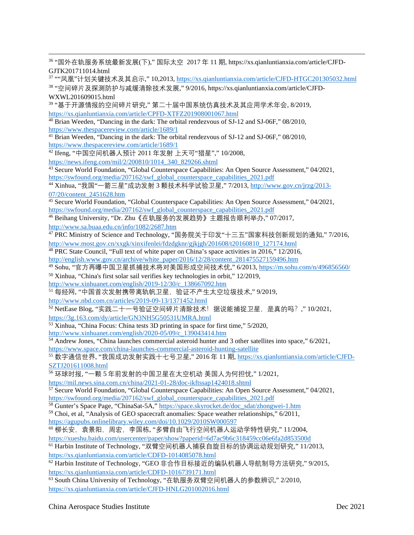<sup>36</sup> "国外在轨服务系统最新发展(下)," 国际太空 2017 年 11 期, https://xs.qianluntianxia.com/article/CJFD-GJTK201711014.html

<span id="page-7-0"></span><sup>37</sup> ""凤凰"计划关键技术及其启示," 10,2013,<https://xs.qianluntianxia.com/article/CJFD-HTGC201305032.html> <sup>38</sup> "空间碎片及探测防护与减缓清除技术发展," 9/2016, https://xs.qianluntianxia.com/article/CJFD-

#### <span id="page-7-1"></span>WXWL201609015.html

<sup>39</sup> "基于开源情报的空间碎片研究," 第二十届中国系统仿真技术及其应用学术年会, 8/2019, <https://xs.qianluntianxia.com/article/CPFD-XTFZ201908001067.html>

<span id="page-7-2"></span><sup>40</sup> Brian Weeden, "Dancing in the dark: The orbital rendezvous of SJ-12 and SJ-06F," 08/2010, <https://www.thespacereview.com/article/1689/1>

<span id="page-7-3"></span><sup>41</sup> Brian Weeden, "Dancing in the dark: The orbital rendezvous of SJ-12 and SJ-06F," 08/2010, <https://www.thespacereview.com/article/1689/1>

<span id="page-7-4"></span><sup>42</sup> Ifeng, "中国空间机器人预计 2011 年发射 上天可"猎星"," 10/2008,

[https://news.ifeng.com/mil/2/200810/1014\\_340\\_829266.shtml](https://news.ifeng.com/mil/2/200810/1014_340_829266.shtml)

<span id="page-7-5"></span><sup>43</sup> Secure World Foundation, "Global Counterspace Capabilities: An Open Source Assessment," 04/2021, [https://swfound.org/media/207162/swf\\_global\\_counterspace\\_capabilities\\_2021.pdf](https://swfound.org/media/207162/swf_global_counterspace_capabilities_2021.pdf)

<span id="page-7-6"></span><sup>44</sup> Xinhua, "我国"一箭三星"成功发射 3 颗技术科学试验卫星," 7/2013[, http://www.gov.cn/jrzg/2013-](http://www.gov.cn/jrzg/2013-07/20/content_2451628.htm) [07/20/content\\_2451628.htm](http://www.gov.cn/jrzg/2013-07/20/content_2451628.htm)

<span id="page-7-7"></span><sup>45</sup> Secure World Foundation, "Global Counterspace Capabilities: An Open Source Assessment," 04/2021, [https://swfound.org/media/207162/swf\\_global\\_counterspace\\_capabilities\\_2021.pdf](https://swfound.org/media/207162/swf_global_counterspace_capabilities_2021.pdf)

<span id="page-7-8"></span><sup>46</sup> Beihang University, "Dr. Zhu《在轨服务的发展趋势》主题报告顺利举办," 07/2017, <http://www.sa.buaa.edu.cn/info/1082/2687.htm>

<span id="page-7-9"></span><sup>47</sup> PRC Ministry of Science and Technology, "国务院关于印发"十三五"国家科技创新规划的通知," 7/2016, [http://www.most.gov.cn/xxgk/xinxifenlei/fdzdgknr/gjkjgh/201608/t20160810\\_127174.html](http://www.most.gov.cn/xxgk/xinxifenlei/fdzdgknr/gjkjgh/201608/t20160810_127174.html)

<span id="page-7-10"></span><sup>48</sup> PRC State Council, "Full text of white paper on China's space activities in 2016," 12/2016, [http://english.www.gov.cn/archive/white\\_paper/2016/12/28/content\\_281475527159496.htm](http://english.www.gov.cn/archive/white_paper/2016/12/28/content_281475527159496.htm)

<span id="page-7-11"></span><sup>49</sup> Sohu, "官方再曝中国卫星抓捕技术将对美国形成空间技术优," 6/2013,<https://m.sohu.com/n/496856560/>

<sup>50</sup> Xinhua, "China's first solar sail verifies key technologies in orbit," 12/2019,

<span id="page-7-12"></span>[http://www.xinhuanet.com/english/2019-12/30/c\\_138667092.htm](http://www.xinhuanet.com/english/2019-12/30/c_138667092.htm)

51 每经网, "中国首次发射携带离轨帆卫星, 验证不产生太空垃圾技术," 9/2019,

<http://www.nbd.com.cn/articles/2019-09-13/1371452.html>

<span id="page-7-13"></span> $52$  NetEase Blog, "实践二十一号验证空间碎片清除技术!据说能捕捉卫星, 是真的吗?," 10/2021,

<https://3g.163.com/dy/article/GN3NH5G50531UMRA.html>

<sup>53</sup> Xinhua, "China Focus: China tests 3D printing in space for first time," 5/2020,

<span id="page-7-14"></span>[http://www.xinhuanet.com/english/2020-05/09/c\\_139043414.htm](http://www.xinhuanet.com/english/2020-05/09/c_139043414.htm)

<sup>54</sup> Andrew Jones, "China launches commercial asteroid hunter and 3 other satellites into space," 6/2021,

<span id="page-7-15"></span><https://www.space.com/china-launches-commercial-asteroid-hunting-satellite>

<sup>55</sup> 数字通信世界, "我国成功发射实践十七号卫星," 2016 年 11 期, [https://xs.qianluntianxia.com/article/CJFD-](https://xs.qianluntianxia.com/article/CJFD-SZTJ201611008.html)[SZTJ201611008.html](https://xs.qianluntianxia.com/article/CJFD-SZTJ201611008.html)

<sup>56</sup> 环球时报, "一颗 5 年前发射的中国卫星在太空机动 美国人为何担忧," 1/2021,

<https://mil.news.sina.com.cn/china/2021-01-28/doc-ikftssap1424018.shtml>

<sup>57</sup> Secure World Foundation, "Global Counterspace Capabilities: An Open Source Assessment," 04/2021, [https://swfound.org/media/207162/swf\\_global\\_counterspace\\_capabilities\\_2021.pdf](https://swfound.org/media/207162/swf_global_counterspace_capabilities_2021.pdf)

<sup>58</sup> Gunter's Space Page, "ChinaSat-5A," [https://space.skyrocket.de/doc\\_sdat/zhongwei-1.htm](https://space.skyrocket.de/doc_sdat/zhongwei-1.htm)

<sup>59</sup> Choi, et al, "Analysis of GEO spacecraft anomalies: Space weather relationships," 6/2011, <https://agupubs.onlinelibrary.wiley.com/doi/10.1029/2010SW000597>

 $^{60}$  柳长安, 袁景阳, 周宏, 李国栋, "多臂自由飞行空间机器人运动学特性研究," 11/2004,

<https://xueshu.baidu.com/usercenter/paper/show?paperid=6d7ac9b6c318459cc06e6fa2d853500d>

<sup>61</sup> Harbin Institute of Technology, "双臂空间机器人捕获自旋目标的协调运动规划研究," 11/2013, <https://xs.qianluntianxia.com/article/CDFD-1014085078.html>

 $\overline{62}$  Harbin Institute of Technology, "GEO 非合作目标接近的编队机器人导航制导方法研究," 9/2015, <https://xs.qianluntianxia.com/article/CDFD-1016739171.html>

<sup>63</sup> South China University of Technology, "在轨服务双臂空间机器人的参数辨识," 2/2010, <https://xs.qianluntianxia.com/article/CJFD-HNLG201002016.html>